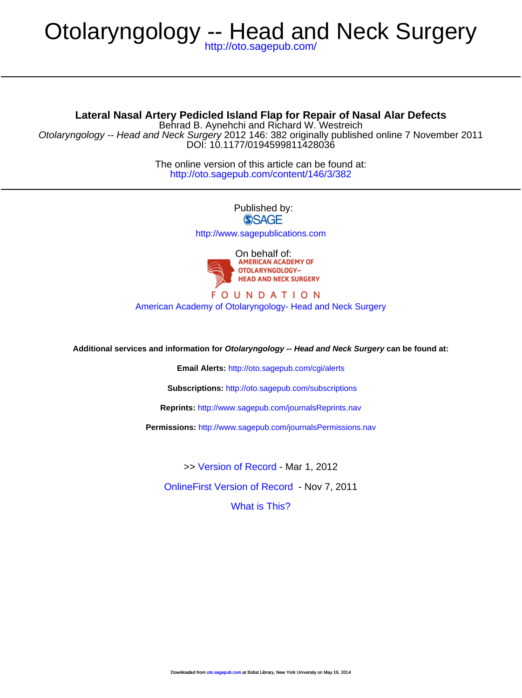# Otolaryngology -- Head and Neck Surgery

<http://oto.sagepub.com/>

**Lateral Nasal Artery Pedicled Island Flap for Repair of Nasal Alar Defects**

DOI: 10.1177/0194599811428036 Otolaryngology -- Head and Neck Surgery 2012 146: 382 originally published online 7 November 2011 Behrad B. Aynehchi and Richard W. Westreich

> <http://oto.sagepub.com/content/146/3/382> The online version of this article can be found at:

> > Published by: **SSAGE** <http://www.sagepublications.com>



## **FOUNDATION** [American Academy of Otolaryngology- Head and Neck Surgery](http://www.entnet.org)

**Additional services and information for Otolaryngology -- Head and Neck Surgery can be found at:**

**Email Alerts:** <http://oto.sagepub.com/cgi/alerts>

**Subscriptions:** <http://oto.sagepub.com/subscriptions>

**Reprints:** <http://www.sagepub.com/journalsReprints.nav>

**Permissions:** <http://www.sagepub.com/journalsPermissions.nav>

>> [Version of Record -](http://oto.sagepub.com/content/146/3/382.full.pdf) Mar 1, 2012

[OnlineFirst Version of Record](http://oto.sagepub.com/content/early/2011/11/04/0194599811428036.full.pdf) - Nov 7, 2011

[What is This?](http://online.sagepub.com/site/sphelp/vorhelp.xhtml)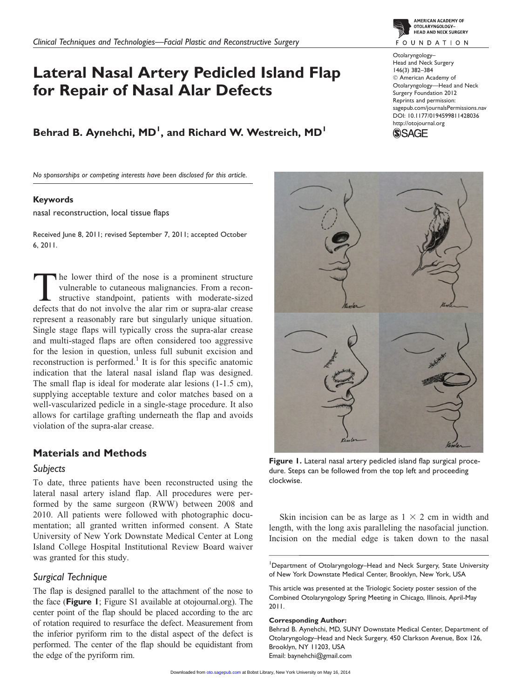# Lateral Nasal Artery Pedicled Island Flap for Repair of Nasal Alar Defects

Behrad B. Aynehchi, MD<sup>1</sup>, and Richard W. Westreich, MD<sup>1</sup>

No sponsorships or competing interests have been disclosed for this article.

#### Keywords

nasal reconstruction, local tissue flaps

Received June 8, 2011; revised September 7, 2011; accepted October 6, 2011.

The lower third of the nose is a prominent structure vulnerable to cutaneous malignancies. From a reconstructive standpoint, patients with moderate-sized defects that do not involve the alar rim or supra-alar crease represent a reasonably rare but singularly unique situation. Single stage flaps will typically cross the supra-alar crease and multi-staged flaps are often considered too aggressive for the lesion in question, unless full subunit excision and reconstruction is performed.<sup>1</sup> It is for this specific anatomic indication that the lateral nasal island flap was designed. The small flap is ideal for moderate alar lesions (1-1.5 cm), supplying acceptable texture and color matches based on a well-vascularized pedicle in a single-stage procedure. It also allows for cartilage grafting underneath the flap and avoids violation of the supra-alar crease.

# Materials and Methods

#### Subjects

To date, three patients have been reconstructed using the lateral nasal artery island flap. All procedures were performed by the same surgeon (RWW) between 2008 and 2010. All patients were followed with photographic documentation; all granted written informed consent. A State University of New York Downstate Medical Center at Long Island College Hospital Institutional Review Board waiver was granted for this study.

### Surgical Technique

The flap is designed parallel to the attachment of the nose to the face (Figure 1; Figure S1 available at otojournal.org). The center point of the flap should be placed according to the arc of rotation required to resurface the defect. Measurement from the inferior pyriform rim to the distal aspect of the defect is performed. The center of the flap should be equidistant from the edge of the pyriform rim.



AMERICAN ACADEMY OF

sagepub.com/journalsPermissions.nav DOI: 10.1177/0194599811428036





Figure 1. Lateral nasal artery pedicled island flap surgical procedure. Steps can be followed from the top left and proceeding clockwise.

Skin incision can be as large as  $1 \times 2$  cm in width and length, with the long axis paralleling the nasofacial junction. Incision on the medial edge is taken down to the nasal

<sup>1</sup>Department of Otolaryngology-Head and Neck Surgery, State University of New York Downstate Medical Center, Brooklyn, New York, USA

This article was presented at the Triologic Society poster session of the Combined Otolaryngology Spring Meeting in Chicago, Illinois, April-May 2011.

#### Corresponding Author:

Behrad B. Aynehchi, MD, SUNY Downstate Medical Center, Department of Otolaryngology–Head and Neck Surgery, 450 Clarkson Avenue, Box 126, Brooklyn, NY 11203, USA Email: baynehchi@gmail.com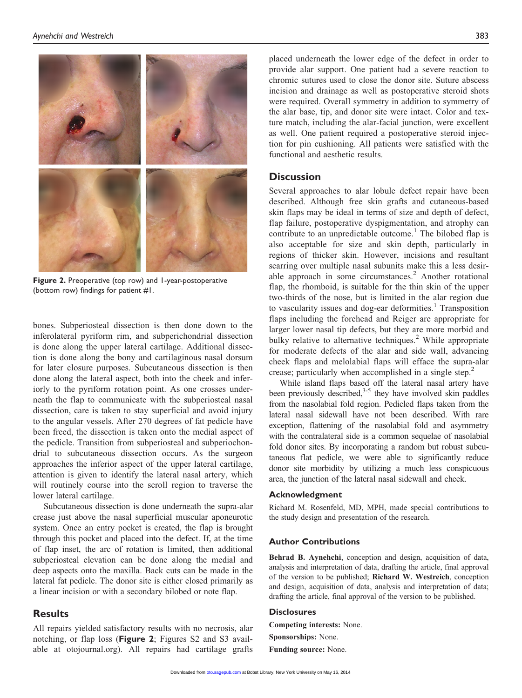

Figure 2. Preoperative (top row) and 1-year-postoperative (bottom row) findings for patient #1.

bones. Subperiosteal dissection is then done down to the inferolateral pyriform rim, and subperichondrial dissection is done along the upper lateral cartilage. Additional dissection is done along the bony and cartilaginous nasal dorsum for later closure purposes. Subcutaneous dissection is then done along the lateral aspect, both into the cheek and inferiorly to the pyriform rotation point. As one crosses underneath the flap to communicate with the subperiosteal nasal dissection, care is taken to stay superficial and avoid injury to the angular vessels. After 270 degrees of fat pedicle have been freed, the dissection is taken onto the medial aspect of the pedicle. Transition from subperiosteal and subperiochondrial to subcutaneous dissection occurs. As the surgeon approaches the inferior aspect of the upper lateral cartilage, attention is given to identify the lateral nasal artery, which will routinely course into the scroll region to traverse the lower lateral cartilage.

Subcutaneous dissection is done underneath the supra-alar crease just above the nasal superficial muscular aponeurotic system. Once an entry pocket is created, the flap is brought through this pocket and placed into the defect. If, at the time of flap inset, the arc of rotation is limited, then additional subperiosteal elevation can be done along the medial and deep aspects onto the maxilla. Back cuts can be made in the lateral fat pedicle. The donor site is either closed primarily as a linear incision or with a secondary bilobed or note flap.

#### **Results**

All repairs yielded satisfactory results with no necrosis, alar notching, or flap loss (Figure 2; Figures S2 and S3 available at otojournal.org). All repairs had cartilage grafts placed underneath the lower edge of the defect in order to provide alar support. One patient had a severe reaction to chromic sutures used to close the donor site. Suture abscess incision and drainage as well as postoperative steroid shots were required. Overall symmetry in addition to symmetry of the alar base, tip, and donor site were intact. Color and texture match, including the alar-facial junction, were excellent as well. One patient required a postoperative steroid injection for pin cushioning. All patients were satisfied with the functional and aesthetic results.

#### **Discussion**

Several approaches to alar lobule defect repair have been described. Although free skin grafts and cutaneous-based skin flaps may be ideal in terms of size and depth of defect, flap failure, postoperative dyspigmentation, and atrophy can contribute to an unpredictable outcome.<sup>1</sup> The bilobed flap is also acceptable for size and skin depth, particularly in regions of thicker skin. However, incisions and resultant scarring over multiple nasal subunits make this a less desirable approach in some circumstances.<sup>2</sup> Another rotational flap, the rhomboid, is suitable for the thin skin of the upper two-thirds of the nose, but is limited in the alar region due to vascularity issues and dog-ear deformities.<sup>1</sup> Transposition flaps including the forehead and Reiger are appropriate for larger lower nasal tip defects, but they are more morbid and bulky relative to alternative techniques.<sup>2</sup> While appropriate for moderate defects of the alar and side wall, advancing cheek flaps and melolabial flaps will efface the supra-alar crease; particularly when accomplished in a single step.<sup>2</sup>

While island flaps based off the lateral nasal artery have been previously described, $3-5$  they have involved skin paddles from the nasolabial fold region. Pedicled flaps taken from the lateral nasal sidewall have not been described. With rare exception, flattening of the nasolabial fold and asymmetry with the contralateral side is a common sequelae of nasolabial fold donor sites. By incorporating a random but robust subcutaneous flat pedicle, we were able to significantly reduce donor site morbidity by utilizing a much less conspicuous area, the junction of the lateral nasal sidewall and cheek.

#### Acknowledgment

Richard M. Rosenfeld, MD, MPH, made special contributions to the study design and presentation of the research.

#### Author Contributions

Behrad B. Aynehchi, conception and design, acquisition of data, analysis and interpretation of data, drafting the article, final approval of the version to be published; Richard W. Westreich, conception and design, acquisition of data, analysis and interpretation of data; drafting the article, final approval of the version to be published.

#### **Disclosures**

Competing interests: None.

- Sponsorships: None.
- Funding source: None.